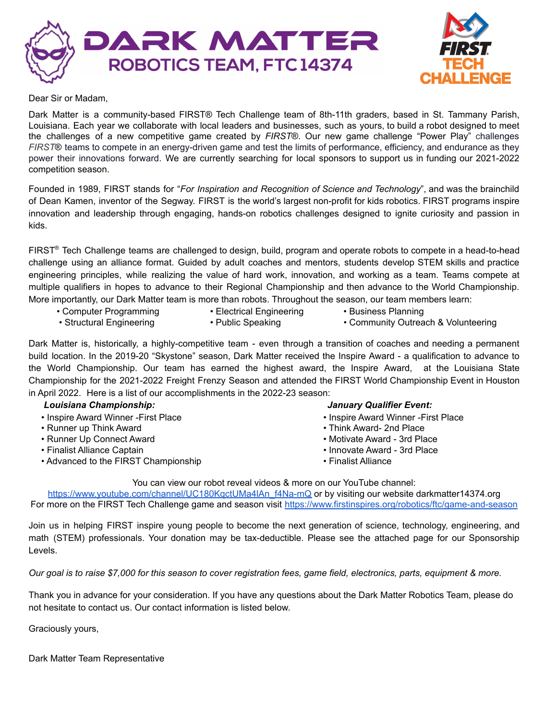



Dear Sir or Madam,

Dark Matter is a community-based FIRST® Tech Challenge team of 8th-11th graders, based in St. Tammany Parish, Louisiana. Each year we collaborate with local leaders and businesses, such as yours, to build a robot designed to meet the challenges of a new competitive game created by *FIRST*®. Our new game challenge "Power Play" challenges *FIRST*® teams to compete in an energy-driven game and test the limits of performance, efficiency, and endurance as they power their innovations forward. We are currently searching for local sponsors to support us in funding our 2021-2022 competition season.

Founded in 1989, FIRST stands for "*For Inspiration and Recognition of Science and Technology*", and was the brainchild of Dean Kamen, inventor of the Segway. FIRST is the world's largest non-profit for kids robotics. FIRST programs inspire innovation and leadership through engaging, hands-on robotics challenges designed to ignite curiosity and passion in kids.

FIRST ® Tech Challenge teams are challenged to design, build, program and operate robots to compete in a head-to-head challenge using an alliance format. Guided by adult coaches and mentors, students develop STEM skills and practice engineering principles, while realizing the value of hard work, innovation, and working as a team. Teams compete at multiple qualifiers in hopes to advance to their Regional Championship and then advance to the World Championship. More importantly, our Dark Matter team is more than robots. Throughout the season, our team members learn:

• Computer Programming • Electrical Engineering • Business Planning • Structural Engineering • Public Speaking • • Community Outreach & Volunteering

Dark Matter is, historically, a highly-competitive team - even through a transition of coaches and needing a permanent build location. In the 2019-20 "Skystone" season, Dark Matter received the Inspire Award - a qualification to advance to the World Championship. Our team has earned the highest award, the Inspire Award, at the Louisiana State Championship for the 2021-2022 Freight Frenzy Season and attended the FIRST World Championship Event in Houston in April 2022. Here is a list of our accomplishments in the 2022-23 season:

#### *Louisiana Championship: January Qualifier Event:* • Inspire Award Winner -First Place • Inspire Award Winner -First Place • Inspire Award Winner -First Place • Runner up Think Award **• Think Award-** 2nd Place • Runner Up Connect Award • Motivate Award • Motivate Award - 3rd Place • Finalist Alliance Captain • Innovate Award - 3rd Place • Advanced to the FIRST Championship • Finalist Alliance

You can view our robot reveal videos & more on our YouTube channel:

https://www.youtube.com/channel/UC180KgctUMa4lAn\_f4Na-mQ or by visiting our website darkmatter14374.org For more on the FIRST Tech Challenge game and season visit <https://www.firstinspires.org/robotics/ftc/game-and-season>

Join us in helping FIRST inspire young people to become the next generation of science, technology, engineering, and math (STEM) professionals. Your donation may be tax-deductible. Please see the attached page for our Sponsorship Levels.

Our goal is to raise \$7,000 for this season to cover registration fees, game field, electronics, parts, equipment & more.

Thank you in advance for your consideration. If you have any questions about the Dark Matter Robotics Team, please do not hesitate to contact us. Our contact information is listed below.

Graciously yours,

Dark Matter Team Representative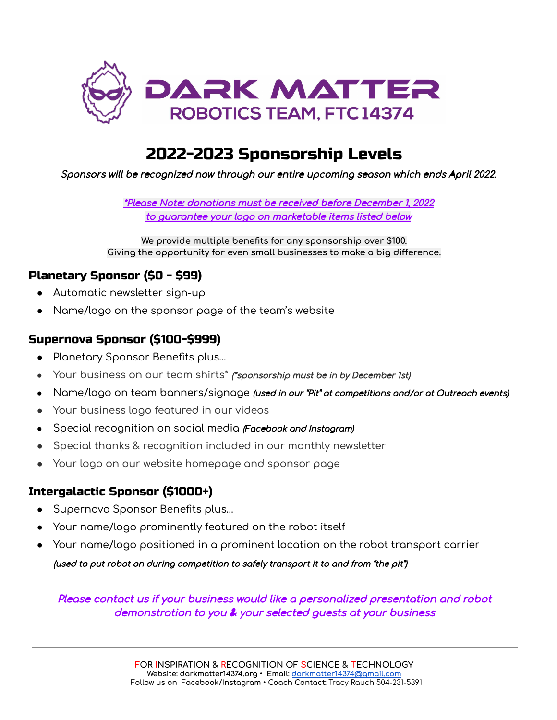

# 2022-2023 Sponsorship Levels

Sponsors will be recognized now through our entire upcoming season which ends April 2022.

\*Please Note: donations must be received before December 1, 2022 to guarantee your logo on marketable items listed below

**We provide multiple benefits for any sponsorship over \$100. Giving the opportunity for even small businesses to make a big difference.**

#### Planetary Sponsor (\$0 - \$99)

- Automatic newsletter sign-up
- Name/logo on the sponsor page of the team's website

#### Supernova Sponsor (\$100-\$999)

- Planetary Sponsor Benefits plus…
- Your business on our team shirts\* (\*sponsorship must be in by December 1st)
- Name/logo on team banners/signage (used in our "Pit" at competitions and/or at Outreach events)
- Your business logo featured in our videos
- Special recognition on social media (Facebook and Instagram)
- Special thanks & recognition included in our monthly newsletter
- Your logo on our website homepage and sponsor page

### Intergalactic Sponsor (\$1000+)

- Supernova Sponsor Benefits plus…
- Your name/logo prominently featured on the robot itself
- Your name/logo positioned in a prominent location on the robot transport carrier (used to put robot on during competition to safely transport it to and from "the pit")

Please contact us if your business would like <sup>a</sup> personalized presentation and robot demonstration to you & your selected guests at your business